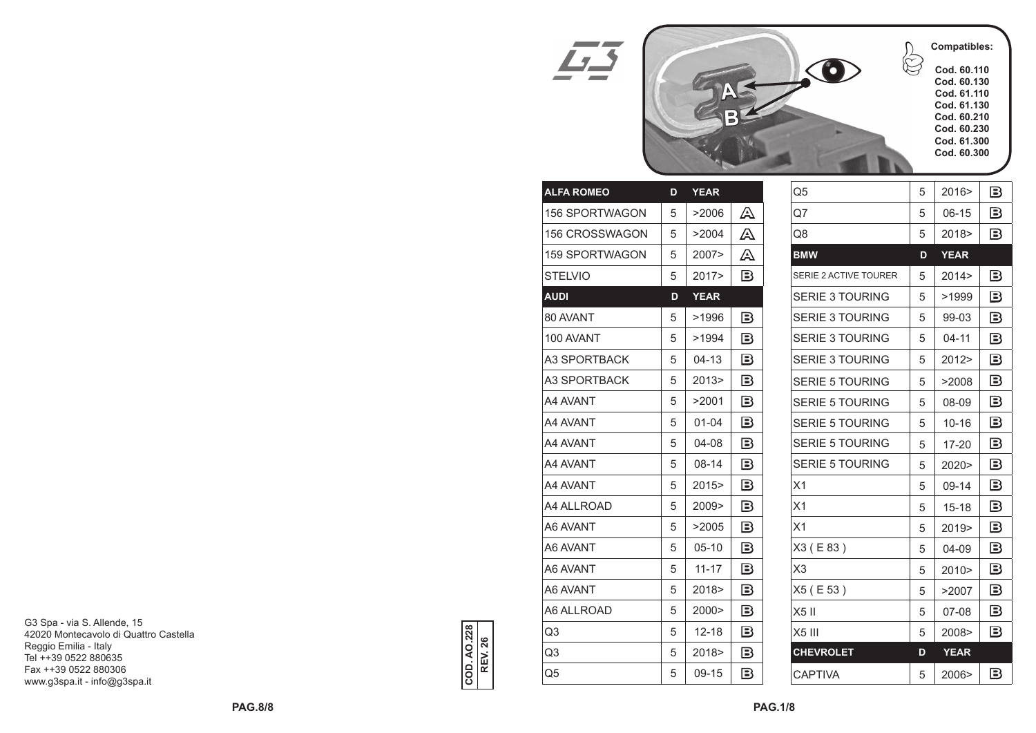

|                                                 | Q5                     | 5 | 2016>       | B                                               |
|-------------------------------------------------|------------------------|---|-------------|-------------------------------------------------|
| A                                               | Q7                     | 5 | $06-15$     | B                                               |
| A                                               | Q8                     | 5 | 2018>       | Β                                               |
| A                                               | <b>BMW</b>             | D | <b>YEAR</b> |                                                 |
| $\mathbf{B}$                                    | SERIE 2 ACTIVE TOURER  | 5 | 2014 >      | B                                               |
|                                                 | <b>SERIE 3 TOURING</b> | 5 | >1999       | Β                                               |
| $\mathbf{B}$                                    | <b>SERIE 3 TOURING</b> | 5 | 99-03       | B                                               |
| $\mathbf{B}$                                    | <b>SERIE 3 TOURING</b> | 5 | $04 - 11$   | $\mathbf{B}$                                    |
| $\mathbf{B}$                                    | <b>SERIE 3 TOURING</b> | 5 | 2012>       | B                                               |
| $\mathbf{B}$                                    | <b>SERIE 5 TOURING</b> | 5 | >2008       | $\boxdot$                                       |
| Β                                               | <b>SERIE 5 TOURING</b> | 5 | 08-09       | Β                                               |
| $\mathbf{B}$                                    | <b>SERIE 5 TOURING</b> | 5 | $10 - 16$   | $\mathbf{B}$                                    |
| $\boxdot$                                       | <b>SERIE 5 TOURING</b> | 5 | $17 - 20$   | $\mathbf{B}% _{T}=\mathbf{A}_{T}\mathbf{B}_{T}$ |
| Β                                               | <b>SERIE 5 TOURING</b> | 5 | 2020        | Β                                               |
| $\mathbf{B}% _{T}=\mathbf{A}_{T}\mathbf{B}_{T}$ | X1                     | 5 | 09-14       | B                                               |
| $\boxdot$                                       | X <sub>1</sub>         | 5 | $15 - 18$   | $\mathbf{B}% _{T}=\mathbf{A}_{T}\mathbf{B}_{T}$ |
| B                                               | X <sub>1</sub>         | 5 | 2019>       | B                                               |
| $\boxdot$                                       | X3 (E83)               | 5 | 04-09       | B                                               |
| Β                                               | X <sub>3</sub>         | 5 | 2010        | B                                               |
| $\mathbf{B}$                                    | X5 (E 53)              | 5 | >2007       | $\mathbf{B}$                                    |
| $\mathbf{B}$                                    | X5II                   | 5 | 07-08       | $\boxdot$                                       |
| $\mathbf{B}% _{T}=\mathbf{A}_{T}\mathbf{B}_{T}$ | $X5$ III               | 5 | 2008>       | Β                                               |
| $\mathbf{B}$                                    | <b>CHEVROLET</b>       | D | <b>YEAR</b> |                                                 |
| $\mathbf{B}% _{T}=\mathbf{A}_{T}\mathbf{B}_{T}$ | <b>CAPTIVA</b>         | 5 | 2006>       | $\mathbf{B}% _{T}=\mathbf{A}_{T}\mathbf{B}_{T}$ |

|              | <b>YEAR</b> | D | <b>ALFA ROMEO</b>     |
|--------------|-------------|---|-----------------------|
| A            | >2006       | 5 | <b>156 SPORTWAGON</b> |
| A            | >2004       | 5 | 156 CROSSWAGON        |
| A            | 2007>       | 5 | 159 SPORTWAGON        |
| $\mathbf{B}$ | 2017>       | 5 | <b>STELVIO</b>        |
|              | <b>YEAR</b> | D | <b>AUDI</b>           |
| $\mathbf{B}$ | >1996       | 5 | 80 AVANT              |
| $\mathbf{B}$ | >1994       | 5 | 100 AVANT             |
| $\mathbf{B}$ | $04 - 13$   | 5 | A3 SPORTBACK          |
| $\mathbf{B}$ | 2013>       | 5 | A3 SPORTBACK          |
| $\mathbf{B}$ | >2001       | 5 | A4 AVANT              |
| $\mathbf{B}$ | $01 - 04$   | 5 | A4 AVANT              |
| $\mathbf{B}$ | 04-08       | 5 | A4 AVANT              |
| $\mathbf{B}$ | $08 - 14$   | 5 | A4 AVANT              |
| $\mathbf{B}$ | 2015        | 5 | A4 AVANT              |
| $\boxdot$    | 2009>       | 5 | A4 ALLROAD            |
| $\mathbf{B}$ | >2005       | 5 | A6 AVANT              |
| $\boxdot$    | $05-10$     | 5 | A6 AVANT              |
| $\mathbf{B}$ | $11 - 17$   | 5 | A6 AVANT              |
| $\mathbf{B}$ | 2018>       | 5 | A6 AVANT              |
| $\mathbf{B}$ | 2000>       | 5 | A6 ALLROAD            |
| $\mathbf{B}$ | $12 - 18$   | 5 | Q3                    |
| $\mathbf{B}$ | 2018        | 5 | Q3                    |
| $\mathbf{B}$ | 09-15       | 5 | Q5                    |

43

G3 Spa - via S. Allende, 15 42020 Montecavolo di Quattro Castella Reggio Emilia - Italy Tel ++39 0522 880635 Fax ++39 0522 880306 www.g3spa.it - info@g3spa.it

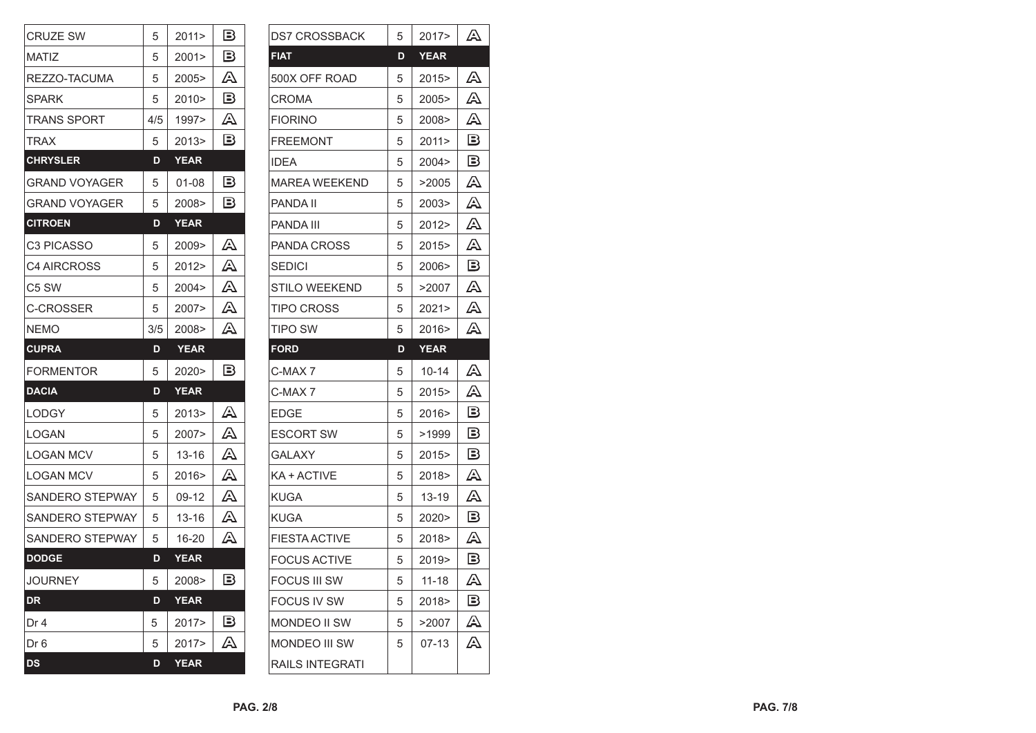| <b>CRUZE SW</b>      | 5                 | 2011>       | в                                               |
|----------------------|-------------------|-------------|-------------------------------------------------|
| MATIZ                | 5                 | 2001        | B                                               |
| REZZO-TACUMA         | 5                 | 2005>       | A                                               |
| SPARK                | 5                 | 2010>       | $\mathbf{B}% _{T}=\mathbf{A}_{T}\mathbf{B}_{T}$ |
| TRANS SPORT          | 4/5               | 1997>       | A                                               |
| TRAX                 | 5                 | 2013>       | B                                               |
| <b>CHRYSLER</b>      | D                 | <b>YEAR</b> |                                                 |
| <b>GRAND VOYAGER</b> | 5                 | 01-08       | B                                               |
| <b>GRAND VOYAGER</b> | 5                 | 2008>       | Β                                               |
| <b>CITROEN</b>       | D                 | YEAR        |                                                 |
| C3 PICASSO           | 5                 | 2009>       | A                                               |
| C4 AIRCROSS          | 5                 | 2012        | A                                               |
| C5 SW                | 5                 | 2004 >      | A                                               |
| C-CROSSER            | 5                 | 2007        | A                                               |
| <b>NEMO</b>          | 3/5               | 2008>       | A                                               |
|                      |                   |             |                                                 |
| <b>CUPRA</b>         | D                 | <b>YEAR</b> |                                                 |
| <b>FORMENTOR</b>     | 5                 | 2020>       | B                                               |
| <b>DACIA</b>         | D                 | <b>YEAR</b> |                                                 |
| LODGY                | 5                 | 2013        | A                                               |
| LOGAN                | 5                 | 2007>       | A                                               |
| LOGAN MCV            | 5                 | 13-16       | ᠘                                               |
| LOGAN MCV            | 5                 | 2016>       | A                                               |
| SANDERO STEPWAY      | 5                 | 09-12       | A                                               |
| SANDERO STEPWAY      | 5                 | 13-16       | A                                               |
| SANDERO STEPWAY      | 5                 | 16-20       | A                                               |
| <b>DODGE</b>         | D                 | <b>YEAR</b> |                                                 |
| <b>JOURNEY</b>       | $\mathbf{I}$<br>5 | 2008>       | $\mathbf{B}% _{T}=\mathbf{A}_{T}\mathbf{B}_{T}$ |
| <b>DR</b>            | D                 | <b>YEAR</b> |                                                 |
| Dr 4                 | 5                 | 2017>       | $\mathbf{B}% _{T}=\mathbf{A}_{T}\mathbf{B}_{T}$ |
| Dr 6                 | 5                 | 2017>       | A                                               |

| DS7 CROSSBACK      | 5 | 2017>       | A                                               |
|--------------------|---|-------------|-------------------------------------------------|
| <b>FIAT</b>        | D | <b>YEAR</b> |                                                 |
| 500X OFF ROAD      | 5 | 2015>       | A                                               |
| CROMA              | 5 | 2005>       | A                                               |
| FIORINO            | 5 | 2008>       | A                                               |
| FREEMONT           | 5 | 2011        | в                                               |
| IDEA               | 5 | 2004 >      | в                                               |
| MAREA WEEKEND      | 5 | >2005       | A                                               |
| PANDA II           | 5 | 2003>       | A                                               |
| PANDA III          | 5 | 2012>       | A                                               |
| PANDA CROSS        | 5 | 2015>       | A                                               |
| SEDICI             | 5 | 2006>       | В                                               |
| STILO WEEKEND      | 5 | >2007       | A                                               |
| TIPO CROSS         | 5 | 2021>       | A                                               |
| TIPO SW            | 5 | 2016>       | A                                               |
| <b>FORD</b>        | D | <b>YEAR</b> |                                                 |
| C-MAX 7            | 5 | 10-14       | A                                               |
| C-MAX 7            | 5 | 2015>       | A                                               |
| EDGE               | 5 | 2016>       | B                                               |
| ESCORT SW          | 5 | >1999       | $\mathbf{B}% _{T}=\mathbf{A}_{T}\mathbf{B}_{T}$ |
| GALAXY             | 5 | 2015>       | $\mathbf{B}% _{T}=\mathbf{A}_{T}\mathbf{B}_{T}$ |
| KA + ACTIVE        | 5 | 2018>       | A                                               |
| KUGA               | 5 | 13-19       | A                                               |
| KUGA               |   |             |                                                 |
|                    | 5 | 2020>       | в                                               |
| FIESTA ACTIVE      | 5 | 2018>       | A                                               |
| FOCUS ACTIVE       | 5 | 2019>       | $\mathbf{B}% _{T}=\mathbf{A}_{T}\mathbf{B}_{T}$ |
| FOCUS III SW       | 5 | $11 - 18$   | A                                               |
| <b>FOCUS IV SW</b> | 5 | 2018>       | $\mathbf{\mathbb{B}}%$                          |
| MONDEO II SW       | 5 | >2007       | A                                               |
| MONDEO III SW      | 5 | $07-13$     | A                                               |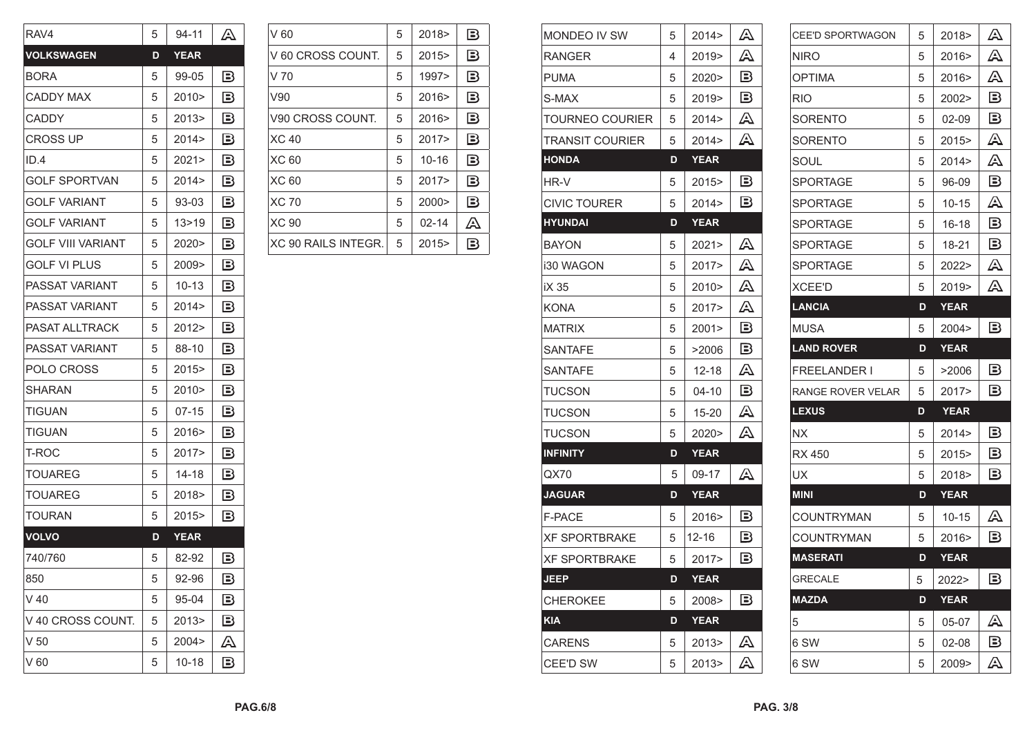| RAV4                  | 5 | 94-11       | A                                               |
|-----------------------|---|-------------|-------------------------------------------------|
| <b>VOLKSWAGEN</b>     | D | <b>YEAR</b> |                                                 |
| <b>BORA</b>           | 5 | 99-05       | B                                               |
| CADDY MAX             | 5 | 2010>       | B                                               |
| CADDY                 | 5 | 2013>       | B                                               |
| CROSS UP              | 5 | 2014>       | B                                               |
| ID.4                  | 5 | 2021        | B                                               |
| <b>GOLF SPORTVAN</b>  | 5 | 2014        | B                                               |
| <b>GOLF VARIANT</b>   | 5 | 93-03       | B                                               |
| <b>GOLF VARIANT</b>   | 5 | 13>19       | B                                               |
| GOLF VIII VARIANT     | 5 | 2020>       | в                                               |
| GOLF VLPLUS           | 5 | 2009>       | 13                                              |
| PASSAT VARIANT        | 5 | 10-13       | B                                               |
| PASSAT VARIANT        | 5 | 2014        | в                                               |
| <b>PASAT ALLTRACK</b> | 5 | 2012>       | B                                               |
| PASSAT VARIANT        | 5 | 88-10       | $\mathbf{B}% _{T}=\mathbf{A}_{T}\mathbf{B}_{T}$ |
| POLO CROSS            | 5 | 2015>       | B                                               |
| SHARAN                | 5 | 2010>       | B                                               |
| TIGUAN                | 5 | 07-15       | B                                               |
| TIGUAN                | 5 | 2016>       | B                                               |
| T-ROC                 | 5 | 2017>       | B                                               |
| TOUAREG               | 5 | 14-18       | в                                               |
| TOUAREG               | 5 | 2018>       | 13                                              |
| TOURAN                | 5 | 2015>       | B                                               |
| <b>VOLVO</b>          | D | <b>YEAR</b> |                                                 |
| 740/760               | 5 | 82-92       | B                                               |
| 850                   | 5 | 92-96       | $\mathbf{B}% _{T}=\mathbf{A}_{T}\mathbf{B}_{T}$ |
| $V$ 40                | 5 | 95-04       | B                                               |
| V 40 CROSS COUNT.     | 5 | 2013>       | $\mathbf{B}% _{T}=\mathbf{A}_{T}\mathbf{B}_{T}$ |
| V <sub>50</sub>       | 5 | 2004>       | A                                               |
| IV 60                 | 5 | $10 - 18$   | $\mathbf{B}% _{T}=\mathbf{A}_{T}\mathbf{B}_{T}$ |

| V 60                | 5 | 2018      | B                                               |
|---------------------|---|-----------|-------------------------------------------------|
| V 60 CROSS COUNT.   | 5 | 2015      | $\mathbf{\mathbb{B}}$                           |
| V <sub>70</sub>     | 5 | 1997>     | $\mathbf{B}$                                    |
| V90                 | 5 | 2016      | $\mathbf{B}% _{T}=\mathbf{A}_{T}\mathbf{B}_{T}$ |
| V90 CROSS COUNT.    | 5 | 2016      | $\mathbf{\mathbb{B}}$                           |
| <b>XC 40</b>        | 5 | 2017      | $\mathbf{B}$                                    |
| <b>XC 60</b>        | 5 | $10 - 16$ | $\mathbf{B}% _{T}=\mathbf{A}_{T}\mathbf{B}_{T}$ |
| <b>XC 60</b>        | 5 | 2017      | $\mathbf{\mathbb{B}}$                           |
| <b>XC 70</b>        | 5 | 2000      | $\mathbf{\mathbb{B}}$                           |
| <b>XC 90</b>        | 5 | $02 - 14$ | A                                               |
| XC 90 RAILS INTEGR. | 5 | 2015      | B                                               |

| <b>MONDEO IV SW</b> | 5 | 2014>       | A                                               |
|---------------------|---|-------------|-------------------------------------------------|
| RANGER              | 4 | 2019>       | A                                               |
| PUMA                | 5 | 2020>       | в                                               |
| S-MAX               | 5 | 2019        | в                                               |
| TOURNEO COURIER     | 5 | 2014>       | A                                               |
| TRANSIT COURIER     | 5 | 2014 >      | A                                               |
| HONDA               | D | YEAR        |                                                 |
| HR-V                | 5 | 2015>       | $\mathbf{B}$                                    |
| <b>CIVIC TOURER</b> | 5 | 2014 >      | Β                                               |
| HYUNDAI             | D | <b>YEAR</b> |                                                 |
| BAYON               | 5 | 2021>       | A                                               |
| i30 WAGON           | 5 | 2017>       | A                                               |
| iX 35               | 5 | 2010>       | A                                               |
| KONA                | 5 | 2017>       | A                                               |
| <b>MATRIX</b>       | 5 | 2001        | Β                                               |
| SANTAFE             | 5 | >2006       | $\mathbf{B}% _{T}=\mathbf{A}_{T}\mathbf{B}_{T}$ |
| SANTAFE             | 5 | 12-18       | A                                               |
| <b>TUCSON</b>       | 5 | 04-10       | Β                                               |
| TUCSON              | 5 | 15-20       | A                                               |
| <b>TUCSON</b>       | 5 | 2020>       | A                                               |
| <b>INFINITY</b>     | D | <b>YEAR</b> |                                                 |
| QX70                | 5 | 09-17       | A                                               |
| <b>JAGUAR</b>       | D | <b>YEAR</b> |                                                 |
| F-PACE              | 5 | 2016>       | B                                               |
| XF SPORTBRAKE       | 5 | 12-16       | $\mathbf{B}% _{T}=\mathbf{A}_{T}\mathbf{B}_{T}$ |
| XF SPORTBRAKE       | 5 | 2017>       | B                                               |
| <b>JEEP</b>         | D | <b>YEAR</b> |                                                 |
| <b>CHEROKEE</b>     | 5 | 2008>       | $\mathbf{B}% _{T}=\mathbf{A}_{T}\mathbf{B}_{T}$ |
| <b>KIA</b>          | D | <b>YEAR</b> |                                                 |
| <b>CARENS</b>       | 5 | 2013>       | A                                               |
| CEE'D SW            | 5 | 2013>       | A                                               |

| <b>CEE'D SPORTWAGON</b> | 5 | 2018>       | A                                               |
|-------------------------|---|-------------|-------------------------------------------------|
| NIRO                    | 5 | 2016>       | A                                               |
| OPTIMA                  | 5 | 2016>       | A                                               |
| RIO                     | 5 | 2002>       | Β                                               |
| SORENTO                 | 5 | 02-09       | B                                               |
| SORENTO                 | 5 | 2015>       | A                                               |
| SOUL                    | 5 | 2014>       | A                                               |
| <b>SPORTAGE</b>         | 5 | 96-09       | $\mathbf{B}% _{T}=\mathbf{A}_{T}\mathbf{B}_{T}$ |
| SPORTAGE                | 5 | 10-15       | A                                               |
| SPORTAGE                | 5 | 16-18       | B                                               |
| SPORTAGE                | 5 | 18-21       | в                                               |
| SPORTAGE                | 5 | 2022>       | A                                               |
| XCEE'D                  | 5 | 2019>       | A                                               |
| <b>LANCIA</b>           | D | <b>YEAR</b> |                                                 |
| <b>MUSA</b>             | 5 | 2004 >      | Β                                               |
| <b>LAND ROVER</b>       | D | <b>YEAR</b> |                                                 |
| FREELANDER I            | 5 | >2006       | $\mathbf{B}% _{T}=\mathbf{A}_{T}\mathbf{B}_{T}$ |
| RANGE ROVER VELAR       | 5 | 2017>       | в                                               |
| <b>LEXUS</b>            | D | <b>YEAR</b> |                                                 |
| <b>NX</b>               | 5 | 2014>       | $\mathbf{B}$                                    |
| RX 450                  | 5 | 2015>       | B                                               |
| UX                      | 5 | 2018>       | $\mathbf{B}% _{T}=\mathbf{A}_{T}\mathbf{B}_{T}$ |
| <b>MINI</b>             | D | <b>YEAR</b> |                                                 |
| COUNTRYMAN              | 5 | $10 - 15$   | A                                               |
| COUNTRYMAN              | 5 | 2016>       | в                                               |
| <b>MASERATI</b>         | D | <b>YEAR</b> |                                                 |
| <b>GRECALE</b>          | 5 | 2022>       | $\mathbf{B}$                                    |
| <b>MAZDA</b>            | D | <b>YEAR</b> |                                                 |
| 5                       | 5 | 05-07       | A                                               |
| 6 SW                    | 5 | 02-08       | $\mathbf{B}$                                    |
| 6 SW                    | 5 | 2009>       | A                                               |